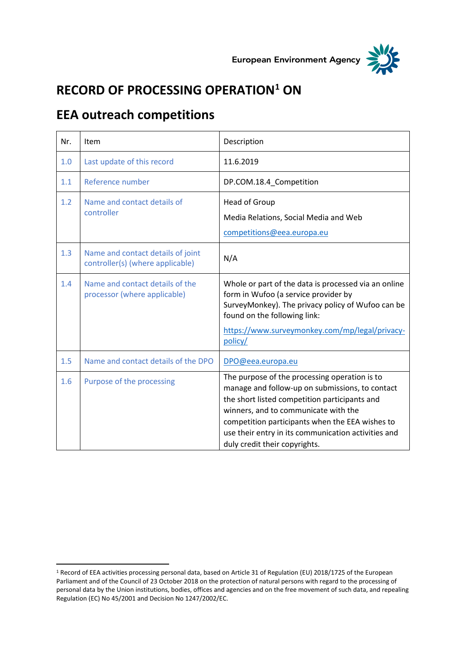



## **RECORD OF PROCESSING OPERATION<sup>1</sup> ON**

## **EEA outreach competitions**

 $\overline{a}$ 

| Nr. | Item                                                                  | Description                                                                                                                                                                                                                                                                                                                          |
|-----|-----------------------------------------------------------------------|--------------------------------------------------------------------------------------------------------------------------------------------------------------------------------------------------------------------------------------------------------------------------------------------------------------------------------------|
| 1.0 | Last update of this record                                            | 11.6.2019                                                                                                                                                                                                                                                                                                                            |
| 1.1 | Reference number                                                      | DP.COM.18.4 Competition                                                                                                                                                                                                                                                                                                              |
| 1.2 | Name and contact details of<br>controller                             | <b>Head of Group</b><br>Media Relations, Social Media and Web<br>competitions@eea.europa.eu                                                                                                                                                                                                                                          |
| 1.3 | Name and contact details of joint<br>controller(s) (where applicable) | N/A                                                                                                                                                                                                                                                                                                                                  |
| 1.4 | Name and contact details of the<br>processor (where applicable)       | Whole or part of the data is processed via an online<br>form in Wufoo (a service provider by<br>SurveyMonkey). The privacy policy of Wufoo can be<br>found on the following link:                                                                                                                                                    |
|     |                                                                       | https://www.surveymonkey.com/mp/legal/privacy-<br>policy/                                                                                                                                                                                                                                                                            |
| 1.5 | Name and contact details of the DPO                                   | DPO@eea.europa.eu                                                                                                                                                                                                                                                                                                                    |
| 1.6 | Purpose of the processing                                             | The purpose of the processing operation is to<br>manage and follow-up on submissions, to contact<br>the short listed competition participants and<br>winners, and to communicate with the<br>competition participants when the EEA wishes to<br>use their entry in its communication activities and<br>duly credit their copyrights. |

<sup>1</sup> Record of EEA activities processing personal data, based on Article 31 of Regulation (EU) 2018/1725 of the European Parliament and of the Council of 23 October 2018 on the protection of natural persons with regard to the processing of personal data by the Union institutions, bodies, offices and agencies and on the free movement of such data, and repealing Regulation (EC) No 45/2001 and Decision No 1247/2002/EC.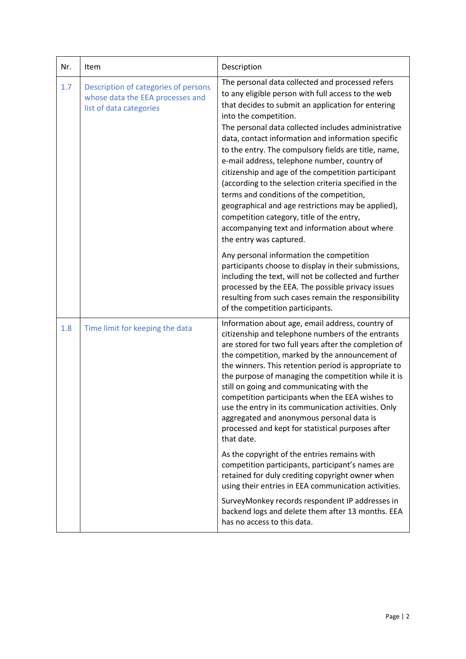| Nr. | Item                                                                                                | Description                                                                                                                                                                                                                                                                                                                                                                                                                                                                                                                                                                                                                                                                                                                                          |
|-----|-----------------------------------------------------------------------------------------------------|------------------------------------------------------------------------------------------------------------------------------------------------------------------------------------------------------------------------------------------------------------------------------------------------------------------------------------------------------------------------------------------------------------------------------------------------------------------------------------------------------------------------------------------------------------------------------------------------------------------------------------------------------------------------------------------------------------------------------------------------------|
| 1.7 | Description of categories of persons<br>whose data the EEA processes and<br>list of data categories | The personal data collected and processed refers<br>to any eligible person with full access to the web<br>that decides to submit an application for entering<br>into the competition.<br>The personal data collected includes administrative<br>data, contact information and information specific<br>to the entry. The compulsory fields are title, name,<br>e-mail address, telephone number, country of<br>citizenship and age of the competition participant<br>(according to the selection criteria specified in the<br>terms and conditions of the competition,<br>geographical and age restrictions may be applied),<br>competition category, title of the entry,<br>accompanying text and information about where<br>the entry was captured. |
|     |                                                                                                     | Any personal information the competition<br>participants choose to display in their submissions,<br>including the text, will not be collected and further<br>processed by the EEA. The possible privacy issues<br>resulting from such cases remain the responsibility<br>of the competition participants.                                                                                                                                                                                                                                                                                                                                                                                                                                            |
| 1.8 | Time limit for keeping the data                                                                     | Information about age, email address, country of<br>citizenship and telephone numbers of the entrants<br>are stored for two full years after the completion of<br>the competition, marked by the announcement of<br>the winners. This retention period is appropriate to<br>the purpose of managing the competition while it is<br>still on going and communicating with the<br>competition participants when the EEA wishes to<br>use the entry in its communication activities. Only<br>aggregated and anonymous personal data is<br>processed and kept for statistical purposes after<br>that date.                                                                                                                                               |
|     |                                                                                                     | As the copyright of the entries remains with<br>competition participants, participant's names are<br>retained for duly crediting copyright owner when<br>using their entries in EEA communication activities.                                                                                                                                                                                                                                                                                                                                                                                                                                                                                                                                        |
|     |                                                                                                     | SurveyMonkey records respondent IP addresses in<br>backend logs and delete them after 13 months. EEA<br>has no access to this data.                                                                                                                                                                                                                                                                                                                                                                                                                                                                                                                                                                                                                  |